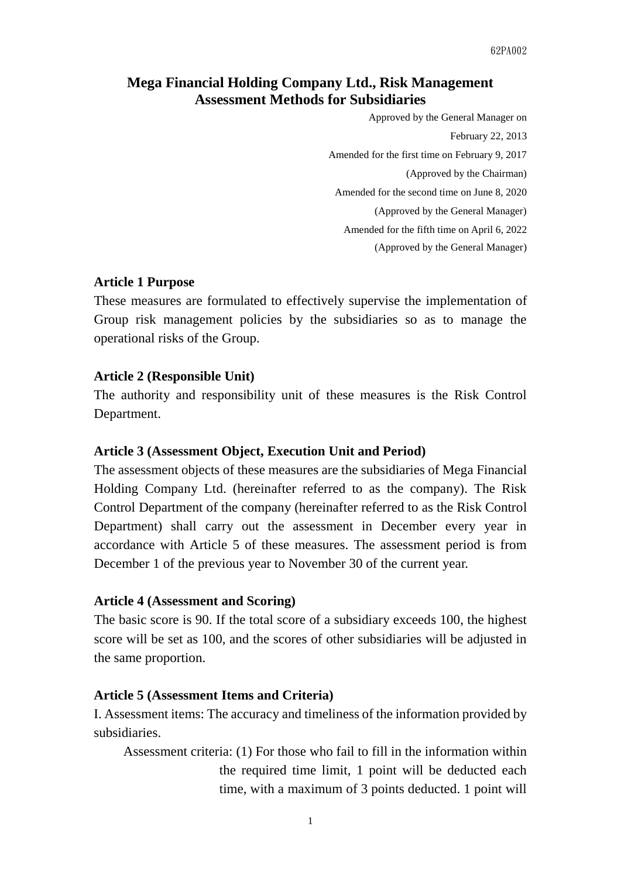# **Mega Financial Holding Company Ltd., Risk Management Assessment Methods for Subsidiaries**

 Approved by the General Manager on February 22, 2013 Amended for the first time on February 9, 2017 (Approved by the Chairman) Amended for the second time on June 8, 2020 (Approved by the General Manager) Amended for the fifth time on April 6, 2022 (Approved by the General Manager)

### **Article 1 Purpose**

These measures are formulated to effectively supervise the implementation of Group risk management policies by the subsidiaries so as to manage the operational risks of the Group.

# **Article 2 (Responsible Unit)**

The authority and responsibility unit of these measures is the Risk Control Department.

# **Article 3 (Assessment Object, Execution Unit and Period)**

The assessment objects of these measures are the subsidiaries of Mega Financial Holding Company Ltd. (hereinafter referred to as the company). The Risk Control Department of the company (hereinafter referred to as the Risk Control Department) shall carry out the assessment in December every year in accordance with Article 5 of these measures. The assessment period is from December 1 of the previous year to November 30 of the current year.

#### **Article 4 (Assessment and Scoring)**

The basic score is 90. If the total score of a subsidiary exceeds 100, the highest score will be set as 100, and the scores of other subsidiaries will be adjusted in the same proportion.

#### **Article 5 (Assessment Items and Criteria)**

I. Assessment items: The accuracy and timeliness of the information provided by subsidiaries.

Assessment criteria: (1) For those who fail to fill in the information within the required time limit, 1 point will be deducted each time, with a maximum of 3 points deducted. 1 point will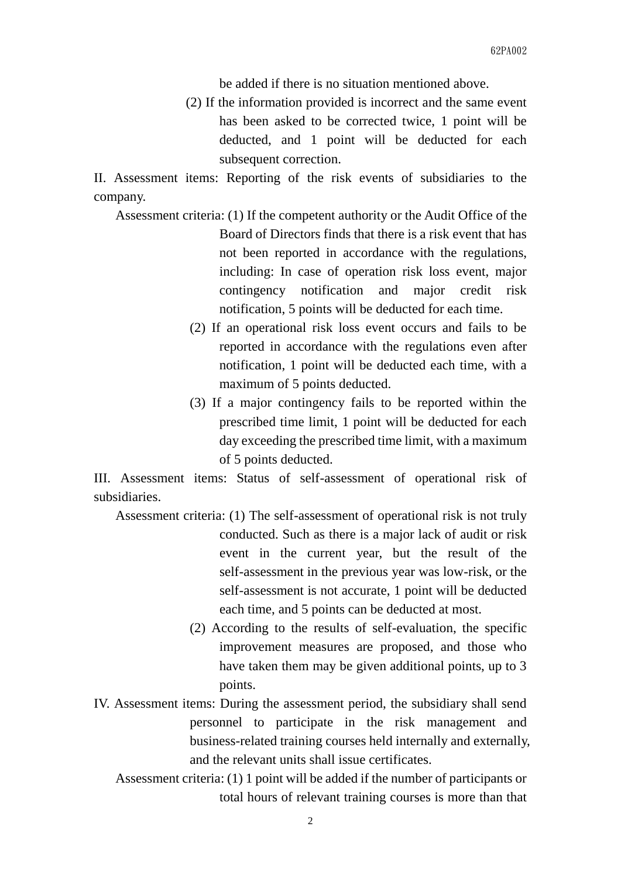be added if there is no situation mentioned above.

 (2) If the information provided is incorrect and the same event has been asked to be corrected twice, 1 point will be deducted, and 1 point will be deducted for each subsequent correction.

II. Assessment items: Reporting of the risk events of subsidiaries to the company.

- Assessment criteria: (1) If the competent authority or the Audit Office of the Board of Directors finds that there is a risk event that has not been reported in accordance with the regulations, including: In case of operation risk loss event, major contingency notification and major credit risk notification, 5 points will be deducted for each time.
	- (2) If an operational risk loss event occurs and fails to be reported in accordance with the regulations even after notification, 1 point will be deducted each time, with a maximum of 5 points deducted.
	- (3) If a major contingency fails to be reported within the prescribed time limit, 1 point will be deducted for each day exceeding the prescribed time limit, with a maximum of 5 points deducted.

III. Assessment items: Status of self-assessment of operational risk of subsidiaries.

- Assessment criteria: (1) The self-assessment of operational risk is not truly conducted. Such as there is a major lack of audit or risk event in the current year, but the result of the self-assessment in the previous year was low-risk, or the self-assessment is not accurate, 1 point will be deducted each time, and 5 points can be deducted at most.
	- (2) According to the results of self-evaluation, the specific improvement measures are proposed, and those who have taken them may be given additional points, up to 3 points.
- IV. Assessment items: During the assessment period, the subsidiary shall send personnel to participate in the risk management and business-related training courses held internally and externally, and the relevant units shall issue certificates.
	- Assessment criteria: (1) 1 point will be added if the number of participants or total hours of relevant training courses is more than that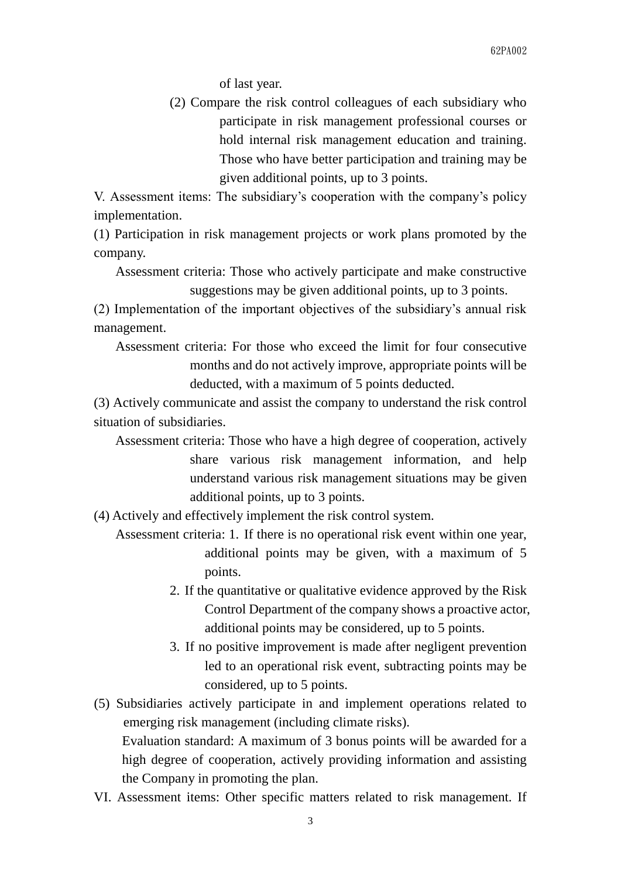of last year.

 (2) Compare the risk control colleagues of each subsidiary who participate in risk management professional courses or hold internal risk management education and training. Those who have better participation and training may be given additional points, up to 3 points.

V. Assessment items: The subsidiary's cooperation with the company's policy implementation.

(1) Participation in risk management projects or work plans promoted by the company.

 Assessment criteria: Those who actively participate and make constructive suggestions may be given additional points, up to 3 points.

(2) Implementation of the important objectives of the subsidiary's annual risk management.

 Assessment criteria: For those who exceed the limit for four consecutive months and do not actively improve, appropriate points will be deducted, with a maximum of 5 points deducted.

(3) Actively communicate and assist the company to understand the risk control situation of subsidiaries.

 Assessment criteria: Those who have a high degree of cooperation, actively share various risk management information, and help understand various risk management situations may be given additional points, up to 3 points.

(4) Actively and effectively implement the risk control system.

- Assessment criteria: 1. If there is no operational risk event within one year, additional points may be given, with a maximum of 5 points.
	- 2. If the quantitative or qualitative evidence approved by the Risk Control Department of the company shows a proactive actor, additional points may be considered, up to 5 points.
	- 3. If no positive improvement is made after negligent prevention led to an operational risk event, subtracting points may be considered, up to 5 points.
- (5) Subsidiaries actively participate in and implement operations related to emerging risk management (including climate risks). Evaluation standard: A maximum of 3 bonus points will be awarded for a high degree of cooperation, actively providing information and assisting the Company in promoting the plan.
- VI. Assessment items: Other specific matters related to risk management. If